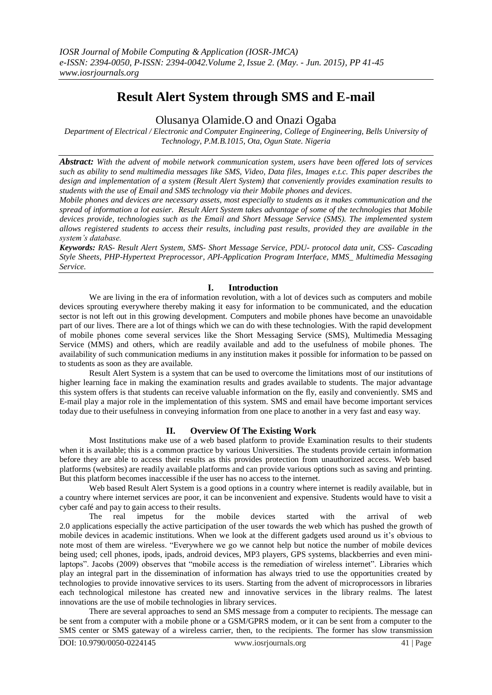# **Result Alert System through SMS and E-mail**

# Olusanya Olamide.O and Onazi Ogaba

*Department of Electrical / Electronic and Computer Engineering, College of Engineering, Bells University of Technology, P.M.B.1015, Ota, Ogun State. Nigeria*

*Abstract: With the advent of mobile network communication system, users have been offered lots of services such as ability to send multimedia messages like SMS, Video, Data files, Images e.t.c. This paper describes the design and implementation of a system (Result Alert System) that conveniently provides examination results to students with the use of Email and SMS technology via their Mobile phones and devices.* 

*Mobile phones and devices are necessary assets, most especially to students as it makes communication and the spread of information a lot easier. Result Alert System takes advantage of some of the technologies that Mobile devices provide, technologies such as the Email and Short Message Service (SMS). The implemented system allows registered students to access their results, including past results, provided they are available in the system's database.*

*Keywords: RAS- Result Alert System, SMS- Short Message Service, PDU- protocol data unit, CSS- Cascading Style Sheets, PHP-Hypertext Preprocessor, API-Application Program Interface, MMS\_ Multimedia Messaging Service.*

# **I. Introduction**

We are living in the era of information revolution, with a lot of devices such as computers and mobile devices sprouting everywhere thereby making it easy for information to be communicated, and the education sector is not left out in this growing development. Computers and mobile phones have become an unavoidable part of our lives. There are a lot of things which we can do with these technologies. With the rapid development of mobile phones come several services like the Short Messaging Service (SMS), Multimedia Messaging Service (MMS) and others, which are readily available and add to the usefulness of mobile phones. The availability of such communication mediums in any institution makes it possible for information to be passed on to students as soon as they are available.

Result Alert System is a system that can be used to overcome the limitations most of our institutions of higher learning face in making the examination results and grades available to students. The major advantage this system offers is that students can receive valuable information on the fly, easily and conveniently. SMS and E-mail play a major role in the implementation of this system. SMS and email have become important services today due to their usefulness in conveying information from one place to another in a very fast and easy way.

# **II. Overview Of The Existing Work**

Most Institutions make use of a web based platform to provide Examination results to their students when it is available; this is a common practice by various Universities. The students provide certain information before they are able to access their results as this provides protection from unauthorized access. Web based platforms (websites) are readily available platforms and can provide various options such as saving and printing. But this platform becomes inaccessible if the user has no access to the internet.

Web based Result Alert System is a good options in a country where internet is readily available, but in a country where internet services are poor, it can be inconvenient and expensive. Students would have to visit a cyber café and pay to gain access to their results.

The real impetus for the mobile devices started with the arrival of 2.0 applications especially the active participation of the user towards the web which has pushed the growth of mobile devices in academic institutions. When we look at the different gadgets used around us it's obvious to note most of them are wireless. "Everywhere we go we cannot help but notice the number of mobile devices being used; cell phones, ipods, ipads, android devices, MP3 players, GPS systems, blackberries and even minilaptops". Jacobs (2009) observes that "mobile access is the remediation of wireless internet". Libraries which play an integral part in the dissemination of information has always tried to use the opportunities created by technologies to provide innovative services to its users. Starting from the advent of microprocessors in libraries each technological milestone has created new and innovative services in the library realms. The latest innovations are the use of mobile technologies in library services.

There are several approaches to send an SMS message from a computer to recipients. The message can be sent from a computer with a mobile phone or a GSM/GPRS modem, or it can be sent from a computer to the SMS center or SMS gateway of a wireless carrier, then, to the recipients. The former has slow transmission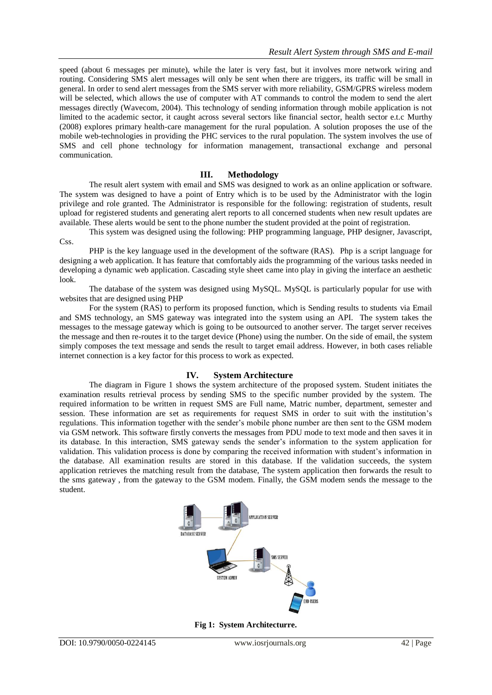speed (about 6 messages per minute), while the later is very fast, but it involves more network wiring and routing. Considering SMS alert messages will only be sent when there are triggers, its traffic will be small in general. In order to send alert messages from the SMS server with more reliability, GSM/GPRS wireless modem will be selected, which allows the use of computer with AT commands to control the modem to send the alert messages directly (Wavecom, 2004). This technology of sending information through mobile application is not limited to the academic sector, it caught across several sectors like financial sector, health sector e.t.c Murthy (2008) explores primary health-care management for the rural population. A solution proposes the use of the mobile web-technologies in providing the PHC services to the rural population. The system involves the use of SMS and cell phone technology for information management, transactional exchange and personal communication.

#### **III. Methodology**

The result alert system with email and SMS was designed to work as an online application or software. The system was designed to have a point of Entry which is to be used by the Administrator with the login privilege and role granted. The Administrator is responsible for the following: registration of students, result upload for registered students and generating alert reports to all concerned students when new result updates are available. These alerts would be sent to the phone number the student provided at the point of registration.

This system was designed using the following: PHP programming language, PHP designer, Javascript, Css.

PHP is the key language used in the development of the software (RAS). Php is a script language for designing a web application. It has feature that comfortably aids the programming of the various tasks needed in developing a dynamic web application. Cascading style sheet came into play in giving the interface an aesthetic look.

The database of the system was designed using MySQL. MySQL is particularly popular for use with websites that are designed using PHP

For the system (RAS) to perform its proposed function, which is Sending results to students via Email and SMS technology, an SMS gateway was integrated into the system using an API. The system takes the messages to the message gateway which is going to be outsourced to another server. The target server receives the message and then re-routes it to the target device (Phone) using the number. On the side of email, the system simply composes the text message and sends the result to target email address. However, in both cases reliable internet connection is a key factor for this process to work as expected.

#### **IV. System Architecture**

The diagram in Figure 1 shows the system architecture of the proposed system. Student initiates the examination results retrieval process by sending SMS to the specific number provided by the system. The required information to be written in request SMS are Full name, Matric number, department, semester and session. These information are set as requirements for request SMS in order to suit with the institution's regulations. This information together with the sender's mobile phone number are then sent to the GSM modem via GSM network. This software firstly converts the messages from PDU mode to text mode and then saves it in its database. In this interaction, SMS gateway sends the sender's information to the system application for validation. This validation process is done by comparing the received information with student's information in the database. All examination results are stored in this database. If the validation succeeds, the system application retrieves the matching result from the database, The system application then forwards the result to the sms gateway , from the gateway to the GSM modem. Finally, the GSM modem sends the message to the student.



**Fig 1: System Architecturre.**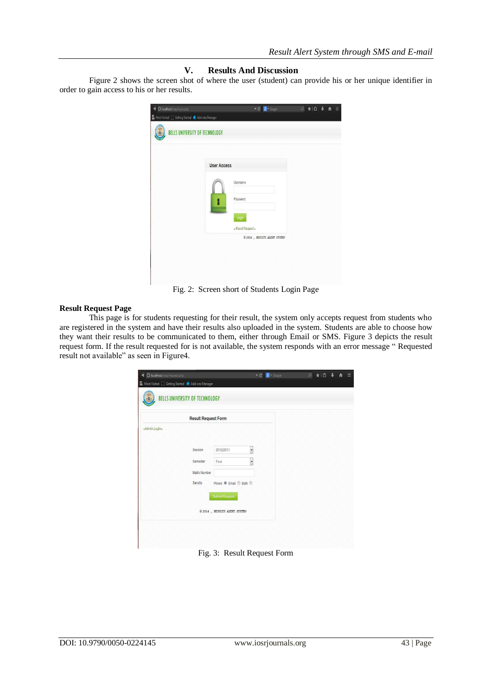### **V. Results And Discussion**

Figure 2 shows the screen shot of where the user (student) can provide his or her unique identifier in order to gain access to his or her results.

| BELLS UNIVERSITY OF TECHNOLOGY |                               |  |
|--------------------------------|-------------------------------|--|
|                                |                               |  |
| <b>User Access</b>             |                               |  |
|                                | Username                      |  |
|                                | Password                      |  |
|                                | Login                         |  |
|                                | « Result Request »            |  |
|                                | © 2014 , RESULTS ALERT SYSTEM |  |
|                                |                               |  |

Fig. 2: Screen short of Students Login Page

#### **Result Request Page**

This page is for students requesting for their result, the system only accepts request from students who are registered in the system and have their results also uploaded in the system. Students are able to choose how they want their results to be communicated to them, either through Email or SMS. Figure 3 depicts the result request form. If the result requested for is not available, the system responds with an error message " Requested result not available" as seen in Figure4.

|               | O localhost/rasp/request.php<br>Most Visited ( Getting Started <a> <a> </a> Add-ons Manager<br/>BELLS UNIVERSITY OF TECHNOLOGY</a> |                                   | $\mathbf{v} \in$<br>8 v Google | $\hbox{O}$ | ★自 | ▤ |
|---------------|------------------------------------------------------------------------------------------------------------------------------------|-----------------------------------|--------------------------------|------------|----|---|
|               | <b>Result Request Form</b>                                                                                                         |                                   |                                |            |    |   |
| «Admin Login» |                                                                                                                                    |                                   |                                |            |    |   |
|               |                                                                                                                                    |                                   |                                |            |    |   |
|               | Session                                                                                                                            | 2010/2011                         | $\overline{\phantom{a}}$       |            |    |   |
|               | Semester                                                                                                                           | First                             | $\overline{\phantom{a}}$       |            |    |   |
|               | Matric Number                                                                                                                      |                                   |                                |            |    |   |
|               | Send to                                                                                                                            | Phone <sup>O</sup> Email © Both © |                                |            |    |   |
|               |                                                                                                                                    | Submit Request                    |                                |            |    |   |
|               |                                                                                                                                    | © 2014 , RESULTS ALERT SYSTEM     |                                |            |    |   |
|               |                                                                                                                                    |                                   |                                |            |    |   |

Fig. 3: Result Request Form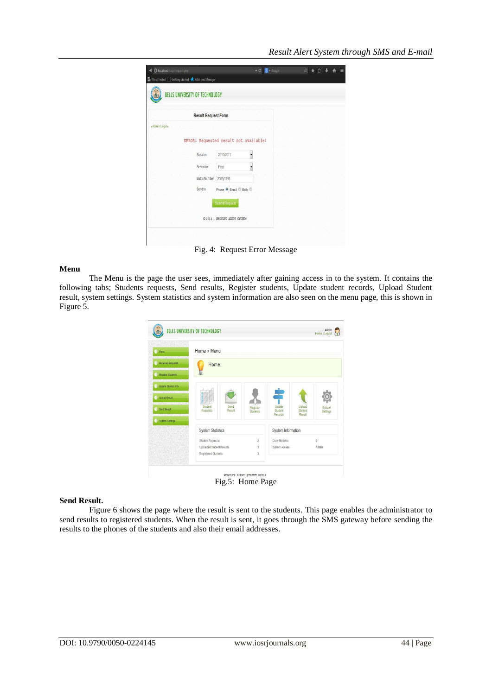|               | <b>Result Request Form</b> |                                                         |   |  |  |
|---------------|----------------------------|---------------------------------------------------------|---|--|--|
| «Admin Login» |                            |                                                         |   |  |  |
|               |                            |                                                         |   |  |  |
|               |                            | ERROR: Requested result not available!                  |   |  |  |
|               |                            |                                                         |   |  |  |
|               | Session                    | 2010/2011                                               |   |  |  |
|               |                            |                                                         |   |  |  |
|               | Semester                   | First                                                   | × |  |  |
|               | Matric Number 2009/1198    |                                                         |   |  |  |
|               | Send to                    | Phone <sup>O</sup> Email <sup>O</sup> Both <sup>O</sup> |   |  |  |
|               |                            |                                                         |   |  |  |
|               |                            | <b>Submit Request</b>                                   |   |  |  |
|               |                            |                                                         |   |  |  |
|               |                            |                                                         |   |  |  |

Fig. 4: Request Error Message

#### **Menu**

The Menu is the page the user sees, immediately after gaining access in to the system. It contains the following tabs; Students requests, Send results, Register students, Update student records, Upload Student result, system settings. System statistics and system information are also seen on the menu page, this is shown in Figure 5.

| Home » Menu                           |                             |                              |                             |                    |
|---------------------------------------|-----------------------------|------------------------------|-----------------------------|--------------------|
| Home.                                 |                             |                              |                             |                    |
|                                       |                             |                              |                             |                    |
|                                       |                             |                              |                             |                    |
|                                       |                             |                              |                             |                    |
| Student<br>Send<br>Requests<br>Result | Register<br><b>Students</b> | Update<br>Student<br>Records | Upload<br>Student<br>Result | System<br>Settings |
|                                       |                             |                              |                             |                    |
| <b>System Statistics</b>              |                             |                              |                             |                    |
| Student Requests                      | $\overline{2}$              | Core-Modules                 |                             | 5                  |
| Uploaded Student Results              | $\overline{\mathbf{3}}$     | System Access                |                             | Admin              |
|                                       |                             |                              | ÷                           | System Information |

Fig.5: Home Page

#### **Send Result.**

Figure 6 shows the page where the result is sent to the students. This page enables the administrator to send results to registered students. When the result is sent, it goes through the SMS gateway before sending the results to the phones of the students and also their email addresses.